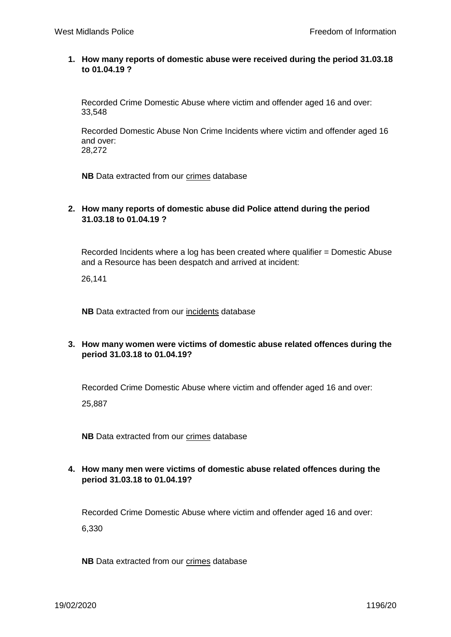## **1. How many reports of domestic abuse were received during the period 31.03.18 to 01.04.19 ?**

Recorded Crime Domestic Abuse where victim and offender aged 16 and over: 33,548

Recorded Domestic Abuse Non Crime Incidents where victim and offender aged 16 and over: 28,272

**NB** Data extracted from our crimes database

## **2. How many reports of domestic abuse did Police attend during the period 31.03.18 to 01.04.19 ?**

Recorded Incidents where a log has been created where qualifier = Domestic Abuse and a Resource has been despatch and arrived at incident:

26,141

**NB** Data extracted from our incidents database

## **3. How many women were victims of domestic abuse related offences during the period 31.03.18 to 01.04.19?**

Recorded Crime Domestic Abuse where victim and offender aged 16 and over:

25,887

**NB** Data extracted from our crimes database

## **4. How many men were victims of domestic abuse related offences during the period 31.03.18 to 01.04.19?**

Recorded Crime Domestic Abuse where victim and offender aged 16 and over:

6,330

**NB** Data extracted from our crimes database